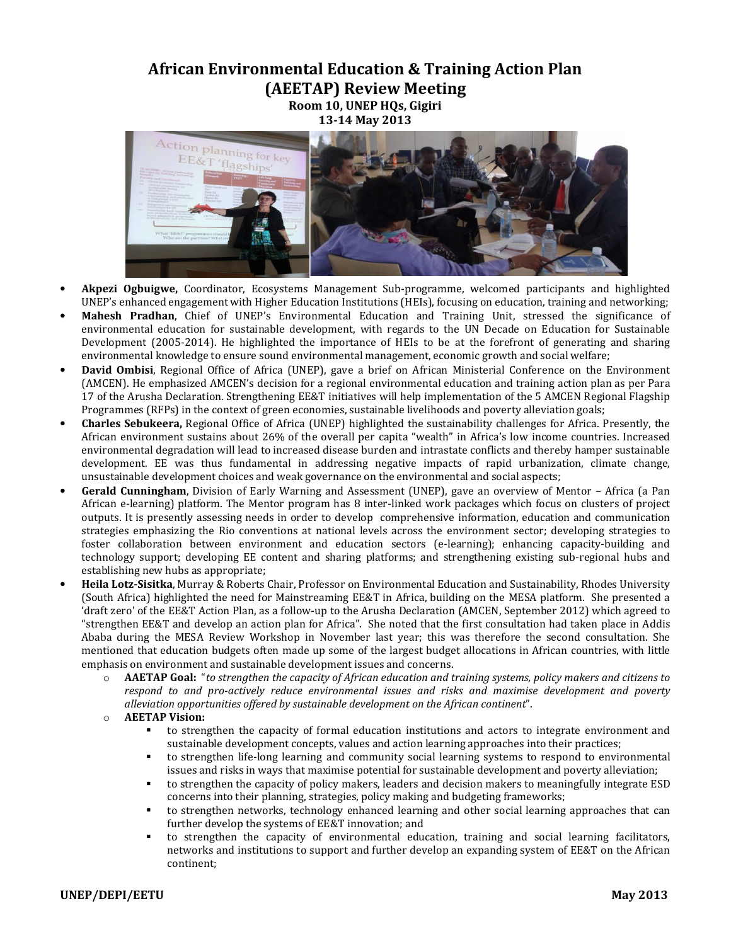## **African Environmental Education & Training Action Plan**

**(AEETAP) Review Meeting** 

**Room 10, UNEP HQs, Gigiri 13-14 May 2013** 



- **Akpezi Ogbuigwe,** Coordinator, Ecosystems Management Sub-programme, welcomed participants and highlighted UNEP's enhanced engagement with Higher Education Institutions (HEIs), focusing on education, training and networking;
- **Mahesh Pradhan**, Chief of UNEP's Environmental Education and Training Unit, stressed the significance of environmental education for sustainable development, with regards to the UN Decade on Education for Sustainable Development (2005-2014). He highlighted the importance of HEIs to be at the forefront of generating and sharing environmental knowledge to ensure sound environmental management, economic growth and social welfare;
- **David Ombisi**, Regional Office of Africa (UNEP), gave a brief on African Ministerial Conference on the Environment (AMCEN). He emphasized AMCEN's decision for a regional environmental education and training action plan as per Para 17 of the Arusha Declaration. Strengthening EE&T initiatives will help implementation of the 5 AMCEN Regional Flagship Programmes (RFPs) in the context of green economies, sustainable livelihoods and poverty alleviation goals;
- **Charles Sebukeera,** Regional Office of Africa (UNEP) highlighted the sustainability challenges for Africa. Presently, the African environment sustains about 26% of the overall per capita "wealth" in Africa's low income countries. Increased environmental degradation will lead to increased disease burden and intrastate conflicts and thereby hamper sustainable development. EE was thus fundamental in addressing negative impacts of rapid urbanization, climate change, unsustainable development choices and weak governance on the environmental and social aspects;
- **Gerald Cunningham**, Division of Early Warning and Assessment (UNEP), gave an overview of Mentor Africa (a Pan African e-learning) platform. The Mentor program has 8 inter-linked work packages which focus on clusters of project outputs. It is presently assessing needs in order to develop comprehensive information, education and communication strategies emphasizing the Rio conventions at national levels across the environment sector; developing strategies to foster collaboration between environment and education sectors (e-learning); enhancing capacity-building and technology support; developing EE content and sharing platforms; and strengthening existing sub-regional hubs and establishing new hubs as appropriate;
- **Heila Lotz-Sisitka**, Murray & Roberts Chair, Professor on Environmental Education and Sustainability, Rhodes University (South Africa) highlighted the need for Mainstreaming EE&T in Africa, building on the MESA platform. She presented a 'draft zero' of the EE&T Action Plan, as a follow-up to the Arusha Declaration (AMCEN, September 2012) which agreed to "strengthen EE&T and develop an action plan for Africa". She noted that the first consultation had taken place in Addis Ababa during the MESA Review Workshop in November last year; this was therefore the second consultation. She mentioned that education budgets often made up some of the largest budget allocations in African countries, with little emphasis on environment and sustainable development issues and concerns.
	- o **AAETAP Goal:** "*to strengthen the capacity of African education and training systems, policy makers and citizens to respond to and pro-actively reduce environmental issues and risks and maximise development and poverty alleviation opportunities offered by sustainable development on the African continent*".
	- o **AEETAP Vision:** 
		- to strengthen the capacity of formal education institutions and actors to integrate environment and sustainable development concepts, values and action learning approaches into their practices;
		- to strengthen life-long learning and community social learning systems to respond to environmental issues and risks in ways that maximise potential for sustainable development and poverty alleviation;
		- to strengthen the capacity of policy makers, leaders and decision makers to meaningfully integrate ESD concerns into their planning, strategies, policy making and budgeting frameworks;
		- to strengthen networks, technology enhanced learning and other social learning approaches that can further develop the systems of EE&T innovation; and
		- to strengthen the capacity of environmental education, training and social learning facilitators, networks and institutions to support and further develop an expanding system of EE&T on the African continent;